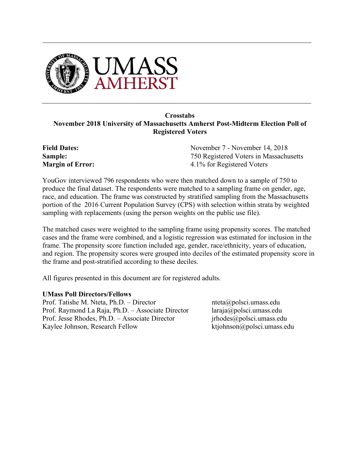

# **Crosstabs November 2018 University of Massachusetts Amherst Post-Midterm Election Poll of Registered Voters**

**Field Dates: Sample: Margin of Error:** November 7 - November 14, 2018 750 Registered Voters in Massachusetts 4.1% for Registered Voters

YouGov interviewed 796 respondents who were then matched down to a sample of 750 to produce the final dataset. The respondents were matched to a sampling frame on gender, age, race, and education. The frame was constructed by stratified sampling from the Massachusetts portion of the 2016 Current Population Survey (CPS) with selection within strata by weighted sampling with replacements (using the person weights on the public use file).

The matched cases were weighted to the sampling frame using propensity scores. The matched cases and the frame were combined, and a logistic regression was estimated for inclusion in the frame. The propensity score function included age, gender, race/ethnicity, years of education, and region. The propensity scores were grouped into deciles of the estimated propensity score in the frame and post-stratified according to these deciles.

All figures presented in this document are for registered adults.

#### **UMass Poll Directors/Fellows**

Prof. Tatishe M. Nteta, Ph.D. – Director nteta apolsci.umass.edu Prof. Raymond La Raja, Ph.D. – Associate Director laraja@polsci.umass.edu Prof. Jesse Rhodes, Ph.D. – Associate Director irhodes@polsci.umass.edu Kaylee Johnson, Research Fellow ktjohnson@polsci.umass.edu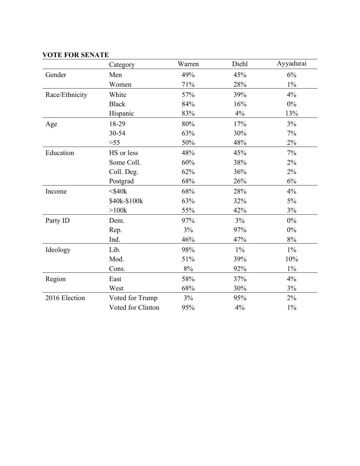## **VOTE FOR SENATE**

|                | Category          | Warren | Diehl | Ayyadurai |
|----------------|-------------------|--------|-------|-----------|
| Gender         | Men               | 49%    | 45%   | 6%        |
|                | Women             | 71%    | 28%   | $1\%$     |
| Race/Ethnicity | White             | 57%    | 39%   | 4%        |
|                | <b>Black</b>      | 84%    | 16%   | $0\%$     |
|                | Hispanic          | 83%    | 4%    | 13%       |
| Age            | 18-29             | 80%    | 17%   | 3%        |
|                | 30-54             | 63%    | 30%   | 7%        |
|                | $>55$             | 50%    | 48%   | $2\%$     |
| Education      | HS or less        | 48%    | 45%   | 7%        |
|                | Some Coll.        | 60%    | 38%   | $2\%$     |
|                | Coll. Deg.        | 62%    | 36%   | $2\%$     |
|                | Postgrad          | 68%    | 26%   | $6\%$     |
| Income         | $<$ \$40 $k$      | 68%    | 28%   | 4%        |
|                | \$40k-\$100k      | 63%    | 32%   | 5%        |
|                | >100k             | 55%    | 42%   | 3%        |
| Party ID       | Dem.              | 97%    | 3%    | $0\%$     |
|                | Rep.              | 3%     | 97%   | 0%        |
|                | Ind.              | 46%    | 47%   | 8%        |
| Ideology       | Lib.              | 98%    | $1\%$ | $1\%$     |
|                | Mod.              | 51%    | 39%   | 10%       |
|                | Cons.             | $8\%$  | 92%   | $1\%$     |
| Region         | East              | 58%    | 37%   | 4%        |
|                | West              | 68%    | 30%   | 3%        |
| 2016 Election  | Voted for Trump   | $3\%$  | 95%   | $2\%$     |
|                | Voted for Clinton | 95%    | 4%    | $1\%$     |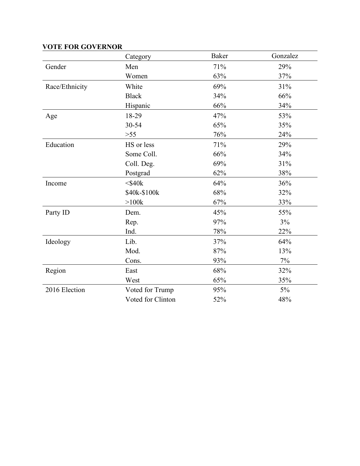|                | Category          | <b>Baker</b> | Gonzalez |
|----------------|-------------------|--------------|----------|
| Gender         | Men               | 71%          | 29%      |
|                | Women             | 63%          | 37%      |
| Race/Ethnicity | White             | 69%          | 31%      |
|                | <b>Black</b>      | 34%          | 66%      |
|                | Hispanic          | 66%          | 34%      |
| Age            | 18-29             | 47%          | 53%      |
|                | 30-54             | 65%          | 35%      |
|                | $>55$             | 76%          | 24%      |
| Education      | HS or less        | 71%          | 29%      |
|                | Some Coll.        | 66%          | 34%      |
|                | Coll. Deg.        | 69%          | 31%      |
|                | Postgrad          | 62%          | 38%      |
| Income         | $<$ \$40 $k$      | 64%          | 36%      |
|                | \$40k-\$100k      | 68%          | 32%      |
|                | $>100k$           | 67%          | 33%      |
| Party ID       | Dem.              | 45%          | 55%      |
|                | Rep.              | 97%          | 3%       |
|                | Ind.              | 78%          | 22%      |
| Ideology       | Lib.              | 37%          | 64%      |
|                | Mod.              | 87%          | 13%      |
|                | Cons.             | 93%          | 7%       |
| Region         | East              | 68%          | 32%      |
|                | West              | 65%          | 35%      |
| 2016 Election  | Voted for Trump   | 95%          | $5\%$    |
|                | Voted for Clinton | 52%          | 48%      |

# **VOTE FOR GOVERNOR**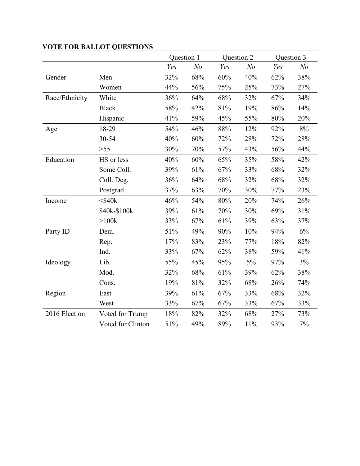|                |                   | Question 1 |                |     | Question 2     | Question 3 |                |
|----------------|-------------------|------------|----------------|-----|----------------|------------|----------------|
|                |                   | Yes        | N <sub>o</sub> | Yes | N <sub>o</sub> | Yes        | N <sub>o</sub> |
| Gender         | Men               | 32%        | 68%            | 60% | 40%            | 62%        | 38%            |
|                | Women             | 44%        | 56%            | 75% | 25%            | 73%        | 27%            |
| Race/Ethnicity | White             | 36%        | 64%            | 68% | 32%            | 67%        | 34%            |
|                | <b>Black</b>      | 58%        | 42%            | 81% | 19%            | 86%        | 14%            |
|                | Hispanic          | 41%        | 59%            | 45% | 55%            | 80%        | 20%            |
| Age            | 18-29             | 54%        | 46%            | 88% | 12%            | 92%        | 8%             |
|                | 30-54             | 40%        | 60%            | 72% | 28%            | 72%        | 28%            |
|                | $>55$             | 30%        | 70%            | 57% | 43%            | 56%        | 44%            |
| Education      | HS or less        | 40%        | 60%            | 65% | 35%            | 58%        | 42%            |
|                | Some Coll.        | 39%        | 61%            | 67% | 33%            | 68%        | 32%            |
|                | Coll. Deg.        | 36%        | 64%            | 68% | 32%            | 68%        | 32%            |
|                | Postgrad          | 37%        | 63%            | 70% | 30%            | 77%        | 23%            |
| Income         | $<$ \$40 $k$      | 46%        | 54%            | 80% | 20%            | 74%        | 26%            |
|                | \$40k-\$100k      | 39%        | 61%            | 70% | 30%            | 69%        | 31%            |
|                | $>100k$           | 33%        | 67%            | 61% | 39%            | 63%        | 37%            |
| Party ID       | Dem.              | 51%        | 49%            | 90% | 10%            | 94%        | 6%             |
|                | Rep.              | 17%        | 83%            | 23% | 77%            | 18%        | 82%            |
|                | Ind.              | 33%        | 67%            | 62% | 38%            | 59%        | 41%            |
| Ideology       | Lib.              | 55%        | 45%            | 95% | $5\%$          | 97%        | 3%             |
|                | Mod.              | 32%        | 68%            | 61% | 39%            | 62%        | 38%            |
|                | Cons.             | 19%        | 81%            | 32% | 68%            | 26%        | 74%            |
| Region         | East              | 39%        | 61%            | 67% | 33%            | 68%        | 32%            |
|                | West              | 33%        | 67%            | 67% | 33%            | 67%        | 33%            |
| 2016 Election  | Voted for Trump   | 18%        | 82%            | 32% | 68%            | 27%        | 73%            |
|                | Voted for Clinton | 51%        | 49%            | 89% | 11%            | 93%        | 7%             |

# **VOTE FOR BALLOT QUESTIONS**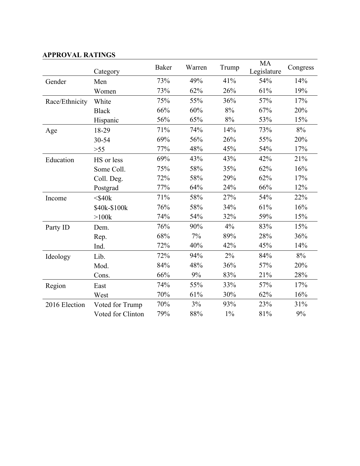|                | Category          | <b>Baker</b> | Warren | Trump | <b>MA</b><br>Legislature | Congress |
|----------------|-------------------|--------------|--------|-------|--------------------------|----------|
| Gender         | Men               | 73%          | 49%    | 41%   | 54%                      | 14%      |
|                | Women             | 73%          | 62%    | 26%   | 61%                      | 19%      |
| Race/Ethnicity | White             | 75%          | 55%    | 36%   | 57%                      | 17%      |
|                | <b>Black</b>      | 66%          | 60%    | 8%    | 67%                      | 20%      |
|                | Hispanic          | 56%          | 65%    | 8%    | 53%                      | 15%      |
| Age            | 18-29             | 71%          | 74%    | 14%   | 73%                      | 8%       |
|                | 30-54             | 69%          | 56%    | 26%   | 55%                      | 20%      |
|                | $>55$             | 77%          | 48%    | 45%   | 54%                      | 17%      |
| Education      | HS or less        | 69%          | 43%    | 43%   | 42%                      | 21%      |
|                | Some Coll.        | 75%          | 58%    | 35%   | 62%                      | 16%      |
|                | Coll. Deg.        | 72%          | 58%    | 29%   | 62%                      | 17%      |
|                | Postgrad          | 77%          | 64%    | 24%   | 66%                      | 12%      |
| Income         | $<$ \$40 $k$      | 71%          | 58%    | 27%   | 54%                      | 22%      |
|                | \$40k-\$100k      | 76%          | 58%    | 34%   | 61%                      | 16%      |
|                | $>100k$           | 74%          | 54%    | 32%   | 59%                      | 15%      |
| Party ID       | Dem.              | 76%          | 90%    | 4%    | 83%                      | 15%      |
|                | Rep.              | 68%          | 7%     | 89%   | 28%                      | 36%      |
|                | Ind.              | 72%          | 40%    | 42%   | 45%                      | 14%      |
| Ideology       | Lib.              | 72%          | 94%    | 2%    | 84%                      | 8%       |
|                | Mod.              | 84%          | 48%    | 36%   | 57%                      | 20%      |
|                | Cons.             | 66%          | 9%     | 83%   | 21%                      | 28%      |
| Region         | East              | 74%          | 55%    | 33%   | 57%                      | 17%      |
|                | West              | 70%          | 61%    | 30%   | 62%                      | 16%      |
| 2016 Election  | Voted for Trump   | 70%          | 3%     | 93%   | 23%                      | 31%      |
|                | Voted for Clinton | 79%          | 88%    | $1\%$ | 81%                      | 9%       |

### **APPROVAL RATINGS**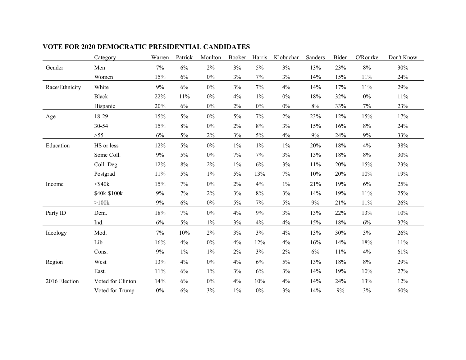|                | Category          | Warren | Patrick | Moulton | Booker | Harris | Klobuchar | Sanders | Biden  | O'Rourke | Don't Know |
|----------------|-------------------|--------|---------|---------|--------|--------|-----------|---------|--------|----------|------------|
| Gender         | Men               | $7\%$  | $6\%$   | $2\%$   | $3\%$  | $5\%$  | 3%        | 13%     | 23%    | $8\%$    | 30%        |
|                | Women             | 15%    | $6\%$   | $0\%$   | 3%     | 7%     | $3\%$     | 14%     | 15%    | $11\%$   | 24%        |
| Race/Ethnicity | White             | 9%     | $6\%$   | $0\%$   | 3%     | $7\%$  | 4%        | 14%     | 17%    | 11%      | 29%        |
|                | <b>Black</b>      | 22%    | 11%     | $0\%$   | 4%     | $1\%$  | $0\%$     | 18%     | 32%    | $0\%$    | $11\%$     |
|                | Hispanic          | 20%    | $6\%$   | $0\%$   | 2%     | $0\%$  | $0\%$     | $8\%$   | 33%    | $7\%$    | 23%        |
| Age            | 18-29             | 15%    | $5\%$   | $0\%$   | 5%     | 7%     | $2\%$     | 23%     | 12%    | 15%      | 17%        |
|                | 30-54             | 15%    | $8\%$   | $0\%$   | 2%     | $8\%$  | 3%        | 15%     | 16%    | $8\%$    | 24%        |
|                | $>55$             | $6\%$  | $5\%$   | $2\%$   | 3%     | 5%     | $4\%$     | $9\%$   | 24%    | $9\%$    | 33%        |
| Education      | HS or less        | 12%    | $5\%$   | $0\%$   | $1\%$  | $1\%$  | $1\%$     | 20%     | 18%    | 4%       | 38%        |
|                | Some Coll.        | 9%     | $5\%$   | $0\%$   | 7%     | 7%     | 3%        | 13%     | 18%    | $8\%$    | 30%        |
|                | Coll. Deg.        | 12%    | $8\%$   | $2\%$   | $1\%$  | 6%     | 3%        | 11%     | 20%    | 15%      | 23%        |
|                | Postgrad          | 11%    | $5\%$   | $1\%$   | $5\%$  | 13%    | $7\%$     | 10%     | 20%    | $10\%$   | 19%        |
| Income         | $<$ \$40 $k$      | 15%    | $7\%$   | $0\%$   | $2\%$  | 4%     | $1\%$     | 21%     | 19%    | $6\%$    | 25%        |
|                | \$40k-\$100k      | 9%     | $7\%$   | $2\%$   | 3%     | $8\%$  | 3%        | 14%     | 19%    | 11%      | 25%        |
|                | $>100k$           | $9\%$  | $6\%$   | $0\%$   | $5\%$  | 7%     | $5\%$     | 9%      | 21%    | 11%      | 26%        |
| Party ID       | Dem.              | 18%    | $7\%$   | $0\%$   | $4\%$  | 9%     | 3%        | 13%     | 22%    | 13%      | $10\%$     |
|                | Ind.              | $6\%$  | $5\%$   | $1\%$   | 3%     | 4%     | $4\%$     | 15%     | 18%    | $6\%$    | 37%        |
| Ideology       | Mod.              | $7\%$  | 10%     | $2\%$   | 3%     | 3%     | $4\%$     | 13%     | 30%    | 3%       | 26%        |
|                | Lib               | 16%    | 4%      | $0\%$   | $4\%$  | 12%    | 4%        | 16%     | 14%    | 18%      | 11%        |
|                | Cons.             | $9\%$  | $1\%$   | $1\%$   | 2%     | 3%     | $2\%$     | $6\%$   | $11\%$ | $4\%$    | 61%        |
| Region         | West              | 13%    | 4%      | $0\%$   | 4%     | 6%     | $5\%$     | 13%     | 18%    | $8\%$    | 29%        |
|                | East.             | 11%    | $6\%$   | $1\%$   | 3%     | $6\%$  | 3%        | 14%     | 19%    | 10%      | 27%        |
| 2016 Election  | Voted for Clinton | 14%    | 6%      | $0\%$   | $4\%$  | 10%    | 4%        | 14%     | 24%    | 13%      | 12%        |
|                | Voted for Trump   | $0\%$  | 6%      | 3%      | $1\%$  | $0\%$  | 3%        | 14%     | 9%     | 3%       | 60%        |

# **VOTE FOR 2020 DEMOCRATIC PRESIDENTIAL CANDIDATES**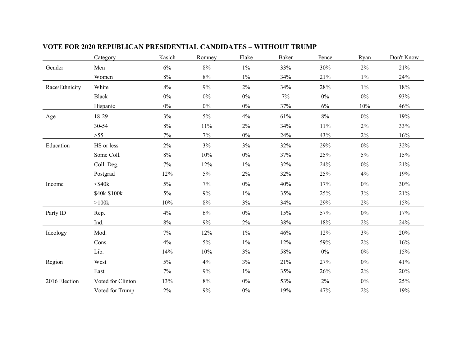|                | Category          | Kasich | Romney | Flake | <b>Baker</b> | Pence | Ryan  | Don't Know |
|----------------|-------------------|--------|--------|-------|--------------|-------|-------|------------|
| Gender         | Men               | 6%     | $8\%$  | $1\%$ | 33%          | 30%   | 2%    | 21%        |
|                | Women             | $8\%$  | $8\%$  | $1\%$ | 34%          | 21%   | $1\%$ | 24%        |
| Race/Ethnicity | White             | 8%     | 9%     | 2%    | 34%          | 28%   | $1\%$ | 18%        |
|                | <b>Black</b>      | $0\%$  | $0\%$  | $0\%$ | 7%           | $0\%$ | $0\%$ | 93%        |
|                | Hispanic          | $0\%$  | $0\%$  | $0\%$ | 37%          | $6\%$ | 10%   | 46%        |
| Age            | 18-29             | 3%     | $5\%$  | 4%    | 61%          | $8\%$ | $0\%$ | 19%        |
|                | 30-54             | $8\%$  | $11\%$ | $2\%$ | 34%          | 11%   | 2%    | 33%        |
|                | $>55$             | $7\%$  | 7%     | $0\%$ | 24%          | 43%   | 2%    | 16%        |
| Education      | HS or less        | $2\%$  | 3%     | 3%    | 32%          | 29%   | $0\%$ | 32%        |
|                | Some Coll.        | $8\%$  | 10%    | $0\%$ | 37%          | 25%   | 5%    | 15%        |
|                | Coll. Deg.        | $7\%$  | 12%    | $1\%$ | 32%          | 24%   | $0\%$ | 21%        |
|                | Postgrad          | 12%    | $5\%$  | $2\%$ | 32%          | 25%   | 4%    | 19%        |
| Income         | $<$ \$40 $k$      | $5\%$  | 7%     | $0\%$ | 40%          | 17%   | $0\%$ | 30%        |
|                | \$40k-\$100k      | $5\%$  | $9\%$  | $1\%$ | 35%          | 25%   | 3%    | 21%        |
|                | >100k             | 10%    | $8\%$  | $3\%$ | 34%          | 29%   | 2%    | 15%        |
| Party ID       | Rep.              | 4%     | 6%     | $0\%$ | 15%          | 57%   | $0\%$ | 17%        |
|                | Ind.              | $8\%$  | 9%     | 2%    | 38%          | 18%   | 2%    | 24%        |
| Ideology       | Mod.              | $7\%$  | 12%    | $1\%$ | 46%          | 12%   | 3%    | 20%        |
|                | Cons.             | $4\%$  | $5\%$  | $1\%$ | 12%          | 59%   | 2%    | 16%        |
|                | Lib.              | 14%    | 10%    | 3%    | 58%          | $0\%$ | $0\%$ | 15%        |
| Region         | West              | $5\%$  | 4%     | 3%    | 21%          | 27%   | $0\%$ | 41%        |
|                | East.             | $7\%$  | 9%     | $1\%$ | 35%          | 26%   | 2%    | 20%        |
| 2016 Election  | Voted for Clinton | 13%    | $8\%$  | $0\%$ | 53%          | $2\%$ | $0\%$ | 25%        |
|                | Voted for Trump   | 2%     | $9\%$  | $0\%$ | 19%          | 47%   | 2%    | 19%        |

#### **VOTE FOR 2020 REPUBLICAN PRESIDENTIAL CANDIDATES – WITHOUT TRUMP**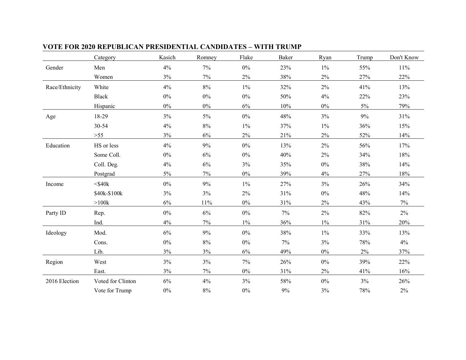|                | Category          | Kasich | Romney | Flake | Baker | Ryan  | Trump  | Don't Know |
|----------------|-------------------|--------|--------|-------|-------|-------|--------|------------|
| Gender         | Men               | 4%     | 7%     | $0\%$ | 23%   | $1\%$ | 55%    | 11%        |
|                | Women             | 3%     | 7%     | 2%    | 38%   | $2\%$ | 27%    | 22%        |
| Race/Ethnicity | White             | 4%     | $8\%$  | $1\%$ | 32%   | $2\%$ | 41%    | 13%        |
|                | Black             | $0\%$  | $0\%$  | $0\%$ | 50%   | 4%    | 22%    | 23%        |
|                | Hispanic          | $0\%$  | $0\%$  | $6\%$ | 10%   | $0\%$ | $5\%$  | 79%        |
| Age            | 18-29             | 3%     | $5\%$  | $0\%$ | 48%   | 3%    | 9%     | 31%        |
|                | 30-54             | 4%     | $8\%$  | $1\%$ | 37%   | $1\%$ | 36%    | 15%        |
|                | $>55$             | $3\%$  | $6\%$  | $2\%$ | 21%   | $2\%$ | 52%    | 14%        |
| Education      | HS or less        | 4%     | 9%     | $0\%$ | 13%   | $2\%$ | 56%    | 17%        |
|                | Some Coll.        | $0\%$  | 6%     | $0\%$ | 40%   | $2\%$ | 34%    | 18%        |
|                | Coll. Deg.        | 4%     | $6\%$  | 3%    | 35%   | $0\%$ | 38%    | 14%        |
|                | Postgrad          | $5\%$  | 7%     | $0\%$ | 39%   | 4%    | 27%    | 18%        |
| Income         | $<$ \$40 $k$      | $0\%$  | 9%     | $1\%$ | 27%   | 3%    | 26%    | 34%        |
|                | \$40k-\$100k      | $3\%$  | $3\%$  | 2%    | 31%   | $0\%$ | 48%    | 14%        |
|                | $>100k$           | 6%     | $11\%$ | $0\%$ | 31%   | $2\%$ | 43%    | $7\%$      |
| Party ID       | Rep.              | $0\%$  | $6\%$  | $0\%$ | 7%    | $2\%$ | 82%    | $2\%$      |
|                | Ind.              | 4%     | 7%     | $1\%$ | 36%   | $1\%$ | $31\%$ | 20%        |
| Ideology       | Mod.              | 6%     | 9%     | $0\%$ | 38%   | $1\%$ | 33%    | 13%        |
|                | Cons.             | $0\%$  | $8\%$  | $0\%$ | 7%    | 3%    | 78%    | 4%         |
|                | Lib.              | $3\%$  | 3%     | 6%    | 49%   | $0\%$ | 2%     | 37%        |
| Region         | West              | 3%     | 3%     | $7\%$ | 26%   | $0\%$ | 39%    | 22%        |
|                | East.             | 3%     | $7\%$  | $0\%$ | 31%   | $2\%$ | 41%    | 16%        |
| 2016 Election  | Voted for Clinton | $6\%$  | 4%     | 3%    | 58%   | $0\%$ | 3%     | 26%        |
|                | Vote for Trump    | $0\%$  | $8\%$  | $0\%$ | $9\%$ | 3%    | 78%    | $2\%$      |

#### **VOTE FOR 2020 REPUBLICAN PRESIDENTIAL CANDIDATES – WITH TRUMP**